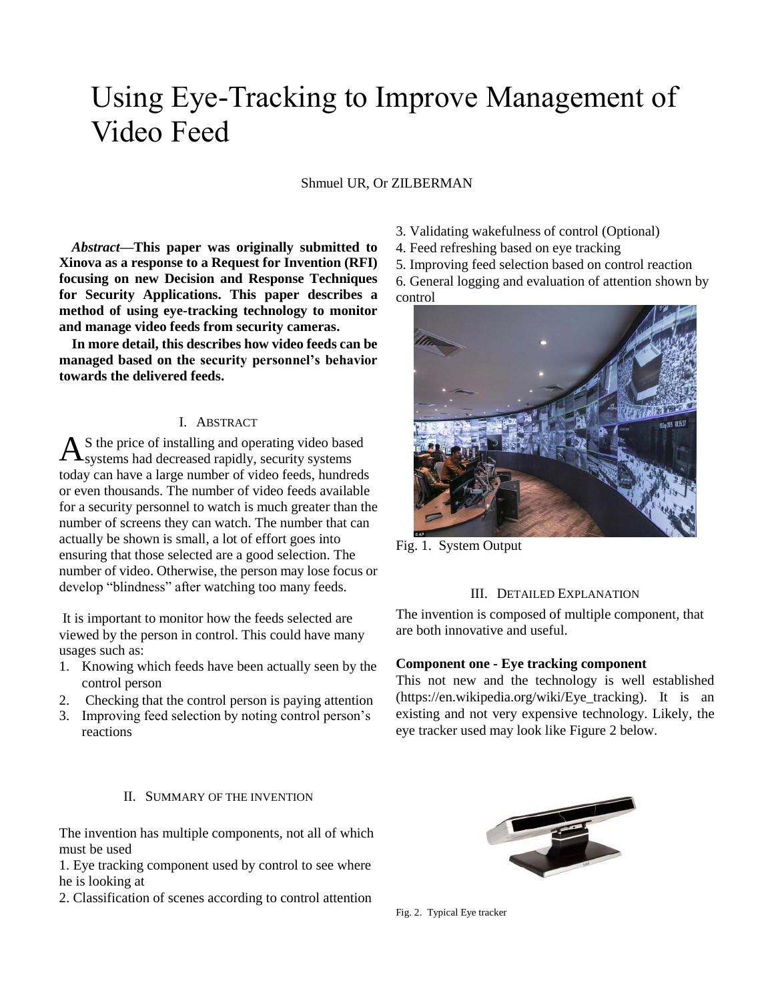# Using Eye-Tracking to Improve Management of Video Feed

Shmuel UR, Or ZILBERMAN

*Abstract***—This paper was originally submitted to Xinova as a response to a Request for Invention (RFI) focusing on new Decision and Response Techniques for Security Applications. This paper describes a method of using eye-tracking technology to monitor and manage video feeds from security cameras.** 

**In more detail, this describes how video feeds can be managed based on the security personnel's behavior towards the delivered feeds.**

#### I. ABSTRACT

S the price of installing and operating video based  $A$ <sup>S</sup> the price of installing and operating video base<br>Systems had decreased rapidly, security systems today can have a large number of video feeds, hundreds or even thousands. The number of video feeds available for a security personnel to watch is much greater than the number of screens they can watch. The number that can actually be shown is small, a lot of effort goes into ensuring that those selected are a good selection. The number of video. Otherwise, the person may lose focus or develop "blindness" after watching too many feeds.

It is important to monitor how the feeds selected are viewed by the person in control. This could have many usages such as:

- 1. Knowing which feeds have been actually seen by the control person
- 2. Checking that the control person is paying attention
- 3. Improving feed selection by noting control person's reactions

#### II. SUMMARY OF THE INVENTION

The invention has multiple components, not all of which must be used

1. Eye tracking component used by control to see where he is looking at

2. Classification of scenes according to control attention

- 3. Validating wakefulness of control (Optional)
- 4. Feed refreshing based on eye tracking
- 5. Improving feed selection based on control reaction

6. General logging and evaluation of attention shown by control



Fig. 1. System Output

#### III. DETAILED EXPLANATION

The invention is composed of multiple component, that are both innovative and useful.

#### **Component one - Eye tracking component**

This not new and the technology is well established (https://en.wikipedia.org/wiki/Eye\_tracking). It is an existing and not very expensive technology. Likely, the eye tracker used may look like Figure 2 below.



Fig. 2. Typical Eye tracker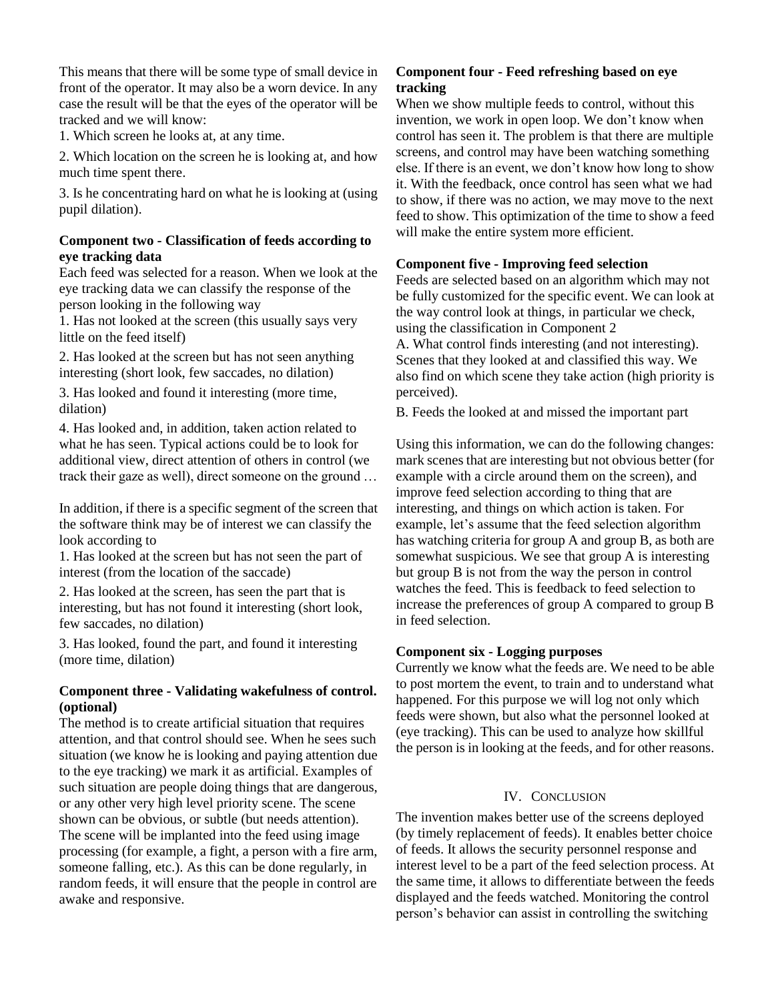This means that there will be some type of small device in front of the operator. It may also be a worn device. In any case the result will be that the eyes of the operator will be tracked and we will know:

1. Which screen he looks at, at any time.

2. Which location on the screen he is looking at, and how much time spent there.

3. Is he concentrating hard on what he is looking at (using pupil dilation).

#### **Component two - Classification of feeds according to eye tracking data**

Each feed was selected for a reason. When we look at the eye tracking data we can classify the response of the person looking in the following way

1. Has not looked at the screen (this usually says very little on the feed itself)

2. Has looked at the screen but has not seen anything interesting (short look, few saccades, no dilation)

3. Has looked and found it interesting (more time, dilation)

4. Has looked and, in addition, taken action related to what he has seen. Typical actions could be to look for additional view, direct attention of others in control (we track their gaze as well), direct someone on the ground …

In addition, if there is a specific segment of the screen that the software think may be of interest we can classify the look according to

1. Has looked at the screen but has not seen the part of interest (from the location of the saccade)

2. Has looked at the screen, has seen the part that is interesting, but has not found it interesting (short look, few saccades, no dilation)

3. Has looked, found the part, and found it interesting (more time, dilation)

## **Component three - Validating wakefulness of control. (optional)**

The method is to create artificial situation that requires attention, and that control should see. When he sees such situation (we know he is looking and paying attention due to the eye tracking) we mark it as artificial. Examples of such situation are people doing things that are dangerous, or any other very high level priority scene. The scene shown can be obvious, or subtle (but needs attention). The scene will be implanted into the feed using image processing (for example, a fight, a person with a fire arm, someone falling, etc.). As this can be done regularly, in random feeds, it will ensure that the people in control are awake and responsive.

## **Component four - Feed refreshing based on eye tracking**

When we show multiple feeds to control, without this invention, we work in open loop. We don't know when control has seen it. The problem is that there are multiple screens, and control may have been watching something else. If there is an event, we don't know how long to show it. With the feedback, once control has seen what we had to show, if there was no action, we may move to the next feed to show. This optimization of the time to show a feed will make the entire system more efficient.

## **Component five - Improving feed selection**

Feeds are selected based on an algorithm which may not be fully customized for the specific event. We can look at the way control look at things, in particular we check, using the classification in Component 2 A. What control finds interesting (and not interesting). Scenes that they looked at and classified this way. We also find on which scene they take action (high priority is perceived).

B. Feeds the looked at and missed the important part

Using this information, we can do the following changes: mark scenes that are interesting but not obvious better (for example with a circle around them on the screen), and improve feed selection according to thing that are interesting, and things on which action is taken. For example, let's assume that the feed selection algorithm has watching criteria for group A and group B, as both are somewhat suspicious. We see that group A is interesting but group B is not from the way the person in control watches the feed. This is feedback to feed selection to increase the preferences of group A compared to group B in feed selection.

## **Component six - Logging purposes**

Currently we know what the feeds are. We need to be able to post mortem the event, to train and to understand what happened. For this purpose we will log not only which feeds were shown, but also what the personnel looked at (eye tracking). This can be used to analyze how skillful the person is in looking at the feeds, and for other reasons.

## IV. CONCLUSION

The invention makes better use of the screens deployed (by timely replacement of feeds). It enables better choice of feeds. It allows the security personnel response and interest level to be a part of the feed selection process. At the same time, it allows to differentiate between the feeds displayed and the feeds watched. Monitoring the control person's behavior can assist in controlling the switching